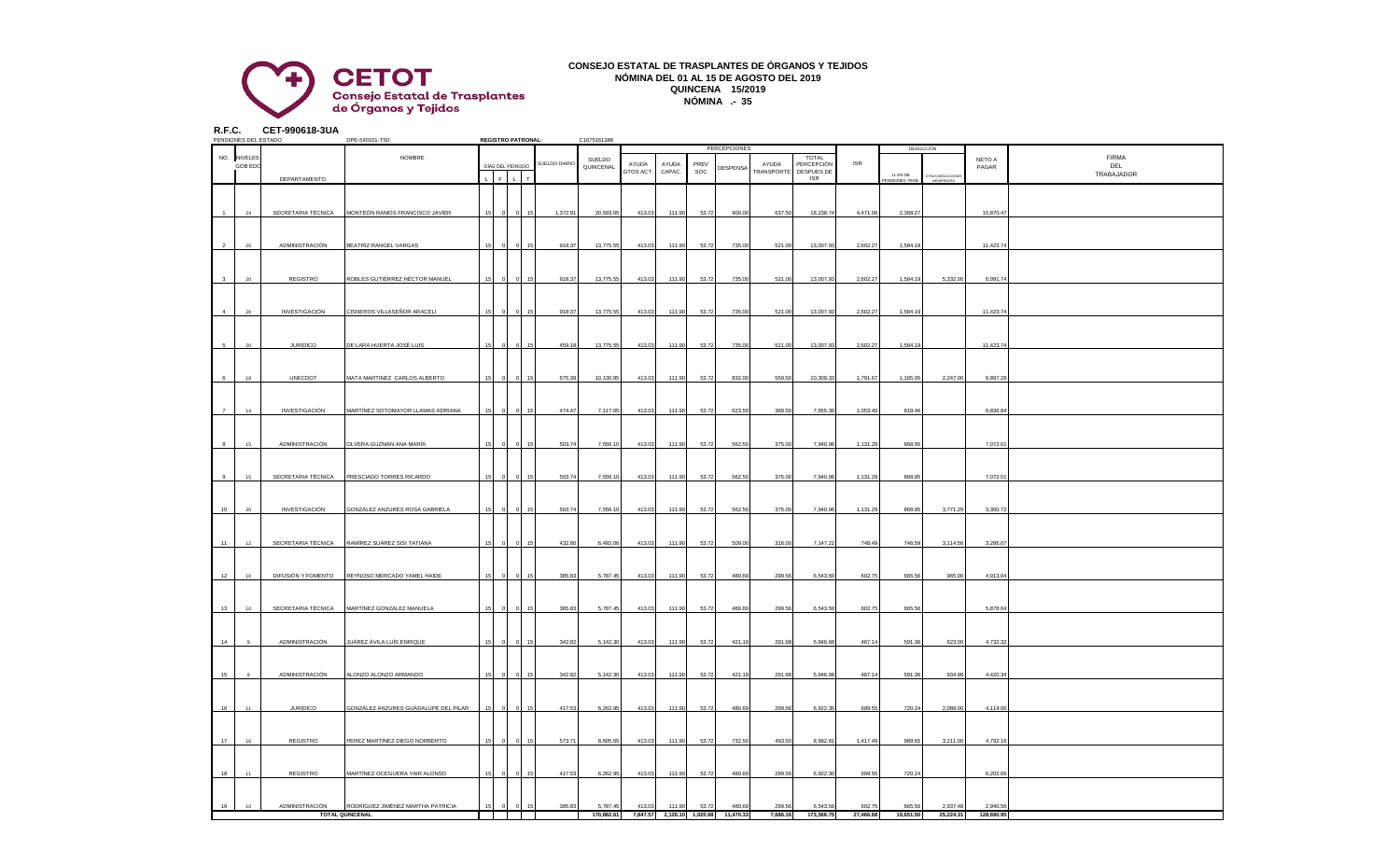

## **CONSEJO ESTATAL DE TRASPLANTES DE ÓRGANOS Y TEJIDOS NÓMINA DEL 01 AL 15 DE AGOSTO DEL 2019 QUINCENA 15/2019 NÓMINA .- 35**

**R.F.C. CET-990618-3UA**

|                | PENSIONES DEL ESTADO |                    | DPE-540101-TS0                       |    |   | <b>REGISTRO PATRONAL:</b>    |               | C1675161388 |           |        |       |                                      |            |                            |            |                          |                         |            |              |
|----------------|----------------------|--------------------|--------------------------------------|----|---|------------------------------|---------------|-------------|-----------|--------|-------|--------------------------------------|------------|----------------------------|------------|--------------------------|-------------------------|------------|--------------|
|                |                      |                    |                                      |    |   |                              |               |             |           |        |       | <b>PERCEPCIONES</b>                  |            |                            |            |                          | DEDUCCIÓN               |            |              |
|                | NO. NIVELES          |                    | NOMBRE                               |    |   | DÍAS DEL PERIODO             | SUELDO DIARIO | SUELDO      | AYUDA     | AYUDA  | PREV  |                                      | AYUDA      | <b>TOTAL</b><br>PERCEPCIÓN | <b>ISR</b> |                          |                         | NETO A     | <b>FIRMA</b> |
|                | <b>GOB EDC</b>       |                    |                                      |    |   |                              |               | QUINCENAL   | GTOS ACT. | CAPAC. | SOC   | DESPENSA                             | TRANSPORTE | DESPUES DE                 |            |                          |                         | PAGAR      | DEL          |
|                |                      | DEPARTAMENTO       |                                      |    | F | $\mathbf{L}$<br>$\mathbf{r}$ |               |             |           |        |       |                                      |            | <b>ISR</b>                 |            | 11.5% DE<br>NSIONES TRAB | <b>DTRAS DEDUCCIONE</b> |            | TRABAJADOR   |
|                |                      |                    |                                      |    |   |                              |               |             |           |        |       |                                      |            |                            |            |                          |                         |            |              |
|                |                      |                    |                                      |    |   |                              |               |             |           |        |       |                                      |            |                            |            |                          |                         |            |              |
|                |                      |                    |                                      |    |   |                              |               |             |           |        |       |                                      |            |                            |            |                          |                         |            |              |
|                | 24                   | SECRETARIA TÉCNICA | MONTEÓN RAMOS FRANCISCO JAVIER       | 15 |   |                              | 1,372.91      | 20,593.65   | 413.03    | 111.90 | 53.72 | 900.00                               | 637.50     | 18,238.74                  | 4,471.06   | 2,368.27                 |                         | 15,870.4   |              |
|                |                      |                    |                                      |    |   |                              |               |             |           |        |       |                                      |            |                            |            |                          |                         |            |              |
|                |                      |                    |                                      |    |   |                              |               |             |           |        |       |                                      |            |                            |            |                          |                         |            |              |
|                |                      |                    |                                      |    |   |                              |               |             |           |        |       |                                      |            |                            |            |                          |                         |            |              |
|                | 20                   | ADMINISTRACIÓN     | BEATRIZ RANGEL VARGAS                |    |   |                              | 918.37        | 13,775.5    | 413.03    | 111.90 | 53.72 | 735.00                               | 521.00     | 13,007.93                  | 2,602.27   | 1,584.19                 |                         | 11,423.7   |              |
|                |                      |                    |                                      |    |   |                              |               |             |           |        |       |                                      |            |                            |            |                          |                         |            |              |
|                |                      |                    |                                      |    |   |                              |               |             |           |        |       |                                      |            |                            |            |                          |                         |            |              |
|                |                      |                    |                                      |    |   |                              |               |             |           |        |       |                                      |            |                            |            |                          |                         |            |              |
|                | $20^{\circ}$         | REGISTRO           | ROBLES GUTIÉRREZ HÉCTOR MANUEL       | 15 |   |                              | 918.37        | 13,775.55   | 413.03    | 111.90 | 53.72 | 735.00                               | 521.00     | 13,007.93                  | 2,602.27   | 1,584.19                 | 5,332.00                | 6,091.74   |              |
|                |                      |                    |                                      |    |   |                              |               |             |           |        |       |                                      |            |                            |            |                          |                         |            |              |
|                |                      |                    |                                      |    |   |                              |               |             |           |        |       |                                      |            |                            |            |                          |                         |            |              |
|                |                      |                    |                                      |    |   |                              |               |             |           |        |       |                                      |            |                            |            |                          |                         |            |              |
| $\overline{a}$ | 20                   | INVESTIGACIÓN      | CISNEROS VILLASEÑOR ARACELI          | 15 |   |                              | 918.37        | 13,775.55   | 413.03    | 111.90 | 53.72 | 735.00                               | 521.00     | 13,007.93                  | 2,602.27   | 1,584.19                 |                         | 11,423.74  |              |
|                |                      |                    |                                      |    |   |                              |               |             |           |        |       |                                      |            |                            |            |                          |                         |            |              |
|                |                      |                    |                                      |    |   |                              |               |             |           |        |       |                                      |            |                            |            |                          |                         |            |              |
|                |                      |                    |                                      |    |   |                              |               |             |           |        |       |                                      |            |                            |            |                          |                         |            |              |
|                | $\infty$             | <b>JURÍDICO</b>    | <b>DE LARA HUERTA JOSÉ LUIS</b>      |    |   |                              | 459.18        | 13,775.5    | 413.03    | 111.90 | 53.72 | 735.00                               | 521.00     | 13,007.93                  | 2,602.27   | 1,584.19                 |                         | 11,423.7   |              |
|                |                      |                    |                                      |    |   |                              |               |             |           |        |       |                                      |            |                            |            |                          |                         |            |              |
|                |                      |                    |                                      |    |   |                              |               |             |           |        |       |                                      |            |                            |            |                          |                         |            |              |
|                |                      |                    |                                      |    |   |                              |               |             |           |        |       |                                      |            |                            |            |                          |                         |            |              |
| 6              | 18                   | UNECDOT            | MATA MARTINEZ CARLOS ALBERTO         | 15 |   |                              | 675.39        | 10,130.85   | 413.03    | 111.90 | 53.72 | 832.00                               | 559.50     | 10,309.33                  | 1,791.67   | 1,165.05                 | 2,247.00                | 6,897.2    |              |
|                |                      |                    |                                      |    |   |                              |               |             |           |        |       |                                      |            |                            |            |                          |                         |            |              |
|                |                      |                    |                                      |    |   |                              |               |             |           |        |       |                                      |            |                            |            |                          |                         |            |              |
|                |                      |                    |                                      |    |   |                              |               |             |           |        |       |                                      |            |                            |            |                          |                         |            |              |
| $\overline{7}$ | 14                   | INVESTIGACIÓN      | MARTÍNEZ SOTOMAYOR LLAMAS ADRIANA    | 15 |   | 15                           | 474.47        | 7,117.05    | 413.03    | 111.90 | 53.72 | 623.50                               | 389.50     | 7,655.30                   | 1,053.40   | 818.46                   |                         | 6,836.8    |              |
|                |                      |                    |                                      |    |   |                              |               |             |           |        |       |                                      |            |                            |            |                          |                         |            |              |
|                |                      |                    |                                      |    |   |                              |               |             |           |        |       |                                      |            |                            |            |                          |                         |            |              |
|                |                      |                    |                                      |    |   |                              |               |             |           |        |       |                                      |            |                            |            |                          |                         |            |              |
|                | 15                   | ADMINISTRACIÓN     | OLVERA GUZMÁN ANA MARÍA              |    |   |                              | 503.74        | 7,556.10    | 413.03    | 111.90 | 53.72 | 562.50                               | 375.00     | 7,940.96                   | 1,131.29   | 868.95                   |                         | 7,072.0    |              |
|                |                      |                    |                                      |    |   |                              |               |             |           |        |       |                                      |            |                            |            |                          |                         |            |              |
|                |                      |                    |                                      |    |   |                              |               |             |           |        |       |                                      |            |                            |            |                          |                         |            |              |
|                |                      |                    |                                      |    |   |                              |               |             |           |        |       |                                      |            |                            |            |                          |                         |            |              |
| 9              | 15                   | SECRETARIA TÉCNICA | PRESCIADO TORRES RICARDO             |    |   |                              | 503.74        | 7,556.10    | 413.03    | 111.90 | 53.72 | 562.50                               | 375.00     | 7,940.96                   | 1,131.2    | 868.95                   |                         | 7,072.0    |              |
|                |                      |                    |                                      |    |   |                              |               |             |           |        |       |                                      |            |                            |            |                          |                         |            |              |
|                |                      |                    |                                      |    |   |                              |               |             |           |        |       |                                      |            |                            |            |                          |                         |            |              |
|                |                      |                    |                                      |    |   |                              |               |             |           |        |       |                                      |            |                            |            |                          |                         |            |              |
| 10             | 20                   | INVESTIGACIÓN      | GONZÁLEZ ANZURES ROSA GABRIELA       |    |   |                              | 503.74        | 7,556.10    | 413.03    | 111.90 | 53.72 | 562.50                               | 375.00     | 7,940.96                   | 1,131.29   | 868.95                   | 3,771.29                | 3,300.72   |              |
|                |                      |                    |                                      |    |   |                              |               |             |           |        |       |                                      |            |                            |            |                          |                         |            |              |
|                |                      |                    |                                      |    |   |                              |               |             |           |        |       |                                      |            |                            |            |                          |                         |            |              |
| 11             | 12                   | SECRETARIA TÉCNICA | RAMÍREZ SUÁREZ SISI TATIANA          | 15 |   |                              |               |             |           |        |       |                                      |            |                            | 748.49     |                          |                         |            |              |
|                |                      |                    |                                      |    |   |                              | 432.80        | 6,492.06    | 413.03    | 111.90 | 53.72 | 509.00                               | 316.00     | 7,147.21                   |            | 746.59                   | 3,114.56                | 3,286.07   |              |
|                |                      |                    |                                      |    |   |                              |               |             |           |        |       |                                      |            |                            |            |                          |                         |            |              |
|                |                      |                    |                                      |    |   |                              |               |             |           |        |       |                                      |            |                            |            |                          |                         |            |              |
| 12             | $10 -$               | DIFUSIÓN Y FOMENTO | REYNOSO MERCADO YAMEL HAIDE          | 15 |   |                              | 385.83        | 5,787.45    | 413.03    | 111.90 | 53.72 | 480.69                               | 299.56     | 6,543.60                   | 602.75     | 665.56                   | 965.00                  | 4,913.0    |              |
|                |                      |                    |                                      |    |   |                              |               |             |           |        |       |                                      |            |                            |            |                          |                         |            |              |
|                |                      |                    |                                      |    |   |                              |               |             |           |        |       |                                      |            |                            |            |                          |                         |            |              |
|                |                      |                    |                                      |    |   |                              |               |             |           |        |       |                                      |            |                            |            |                          |                         |            |              |
| 13             | 10                   | SECRETARIA TÉCNICA | MARTÍNEZ GONZÁLEZ MANUELA            |    |   |                              | 385.83        | 5,787.4     | 413.03    | 111.90 | 53.72 | 480.69                               | 299.56     | 6,543.59                   | 602.75     | 665.5                    |                         | 5,878.0    |              |
|                |                      |                    |                                      |    |   |                              |               |             |           |        |       |                                      |            |                            |            |                          |                         |            |              |
|                |                      |                    |                                      |    |   |                              |               |             |           |        |       |                                      |            |                            |            |                          |                         |            |              |
|                |                      |                    |                                      |    |   |                              |               |             |           |        |       |                                      |            |                            |            |                          |                         |            |              |
| 14             |                      | ADMINISTRACIÓN     | JUÁREZ ÁVILA LUÍS ENRIQUE            |    |   |                              | 342.82        | 5,142.30    | 413.03    | 111.90 | 53.72 | 421.19                               | 291.68     | 5,946.68                   | 487.14     | 591.36                   | 623.00                  | 4,732.3    |              |
|                |                      |                    |                                      |    |   |                              |               |             |           |        |       |                                      |            |                            |            |                          |                         |            |              |
|                |                      |                    |                                      |    |   |                              |               |             |           |        |       |                                      |            |                            |            |                          |                         |            |              |
|                |                      |                    |                                      |    |   |                              |               |             |           |        |       |                                      |            |                            |            |                          |                         |            |              |
| 15             | $\alpha$             | ADMINISTRACIÓN     | ALONZO ALONZO ARMANDO                | 15 |   |                              | 342.82        | 5,142.30    | 413.03    | 111.90 | 53.72 | 421.19                               | 291.68     | 5,946.68                   | 487.14     | 591.36                   | 934.98                  | 4,420.34   |              |
|                |                      |                    |                                      |    |   |                              |               |             |           |        |       |                                      |            |                            |            |                          |                         |            |              |
|                |                      |                    |                                      |    |   |                              |               |             |           |        |       |                                      |            |                            |            |                          |                         |            |              |
|                |                      |                    |                                      |    |   |                              |               |             |           |        |       |                                      |            |                            |            |                          |                         |            |              |
| 16             | 11                   | <b>JURÍDICO</b>    | GONZÁLEZ ANZURES GUADALUPE DEL PILAR |    |   |                              | 417.53        | 6,262.95    | 413.03    | 111.90 | 53.72 | 480.69                               | 299.56     | 6,922.30                   | 699.55     | 720.24                   | 2,088.00                | 4,114.06   |              |
|                |                      |                    |                                      |    |   |                              |               |             |           |        |       |                                      |            |                            |            |                          |                         |            |              |
|                |                      |                    |                                      |    |   |                              |               |             |           |        |       |                                      |            |                            |            |                          |                         |            |              |
|                |                      |                    |                                      |    |   |                              |               |             |           |        |       |                                      |            |                            |            |                          |                         |            |              |
| 17             | 16                   | REGISTRO           | PEREZ MARTÍNEZ DIEGO NORBERTO        | 15 |   |                              | 573.71        | 8,605.6     | 413.03    | 111.90 | 53.72 | 732.5                                | 493.50     | 8,992.8                    | 1,417.49   | 989.6                    | 3,211.00                | 4,792.1    |              |
|                |                      |                    |                                      |    |   |                              |               |             |           |        |       |                                      |            |                            |            |                          |                         |            |              |
|                |                      |                    |                                      |    |   |                              |               |             |           |        |       |                                      |            |                            |            |                          |                         |            |              |
|                |                      |                    |                                      |    |   |                              |               |             |           |        |       |                                      |            |                            |            |                          |                         |            |              |
| 18             | 11                   | REGISTRO           | MARTÍNEZ OCEGUERA YAIR ALONSO        | 15 |   |                              | 417.53        | 6,262.95    | 413.03    | 111.90 | 53.72 | 480.69                               | 299.56     | 6,922.30                   | 699.55     | 720.24                   |                         | 6,202.06   |              |
|                |                      |                    |                                      |    |   |                              |               |             |           |        |       |                                      |            |                            |            |                          |                         |            |              |
|                |                      |                    |                                      |    |   |                              |               |             |           |        |       |                                      |            |                            |            |                          |                         |            |              |
|                |                      |                    |                                      |    |   |                              |               |             |           |        |       |                                      |            |                            |            |                          |                         |            |              |
| 19             | 10                   | ADMINISTRACIÓN     | RODRÍGUEZ JIMÉNEZ MARTHA PATRICIA    | 15 |   |                              | 385.83        | 5,787.45    | 413.03    | 111.90 | 53.72 | 480.69                               | 299.56     | 6,543.59                   | 602.75     | 665.56                   | 2,937.48                | 2.940.56   |              |
|                |                      |                    | <b>TOTAL QUINCENAL</b>               |    |   |                              |               | 170,882.61  |           |        |       | 7.847.57 2.126.10 1.020.68 11.470.33 | 7.686.16   | 173,566,75                 | 27,466,68  | 19.651.50                | 25.224.31               | 128,690.95 |              |